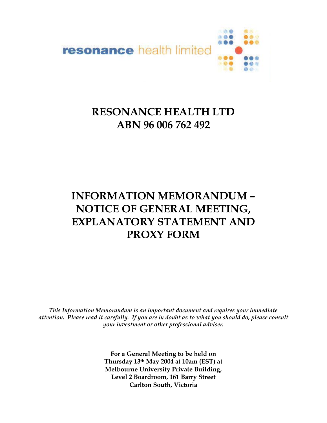

# **RESONANCE HEALTH LTD ABN 96 006 762 492**

# **INFORMATION MEMORANDUM – NOTICE OF GENERAL MEETING, EXPLANATORY STATEMENT AND PROXY FORM**

*This Information Memorandum is an important document and requires your immediate attention. Please read it carefully. If you are in doubt as to what you should do, please consult your investment or other professional adviser.*

> **For a General Meeting to be held on Thursday 13th May 2004 at 10am (EST) at Melbourne University Private Building, Level 2 Boardroom, 161 Barry Street Carlton South, Victoria**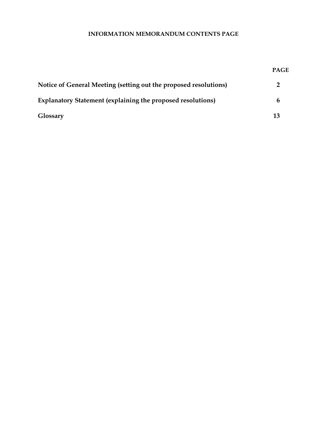# **INFORMATION MEMORANDUM CONTENTS PAGE**

| Notice of General Meeting (setting out the proposed resolutions)   |    |
|--------------------------------------------------------------------|----|
| <b>Explanatory Statement (explaining the proposed resolutions)</b> | h  |
| Glossary                                                           | 13 |

**PAGE**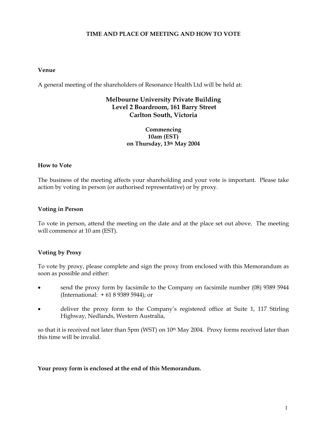# **TIME AND PLACE OF MEETING AND HOW TO VOTE**

#### **Venue**

A general meeting of the shareholders of Resonance Health Ltd will be held at:

# **Melbourne University Private Building Level 2 Boardroom, 161 Barry Street Carlton South, Victoria**

#### **Commencing 10am (EST) on Thursday, 13th May 2004**

#### **How to Vote**

The business of the meeting affects your shareholding and your vote is important. Please take action by voting in person (or authorised representative) or by proxy.

#### **Voting in Person**

To vote in person, attend the meeting on the date and at the place set out above. The meeting will commence at 10 am (EST).

#### **Voting by Proxy**

To vote by proxy, please complete and sign the proxy from enclosed with this Memorandum as soon as possible and either:

- send the proxy form by facsimile to the Company on facsimile number (08) 9389 5944 (International: + 61 8 9389 5944); or
- deliver the proxy form to the Company's registered office at Suite 1, 117 Stirling Highway, Nedlands, Western Australia,

so that it is received not later than 5pm (WST) on 10<sup>th</sup> May 2004. Proxy forms received later than this time will be invalid.

#### **Your proxy form is enclosed at the end of this Memorandum.**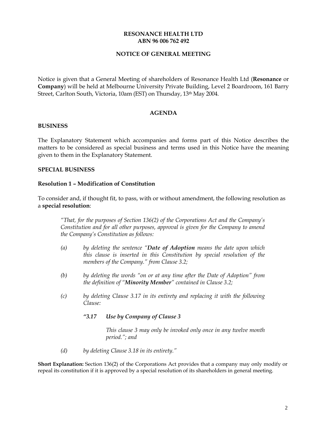#### **RESONANCE HEALTH LTD ABN 96 006 762 492**

#### **NOTICE OF GENERAL MEETING**

Notice is given that a General Meeting of shareholders of Resonance Health Ltd (**Resonance** or **Company**) will be held at Melbourne University Private Building, Level 2 Boardroom, 161 Barry Street, Carlton South, Victoria, 10am (EST) on Thursday, 13<sup>th</sup> May 2004.

#### **AGENDA**

#### **BUSINESS**

The Explanatory Statement which accompanies and forms part of this Notice describes the matters to be considered as special business and terms used in this Notice have the meaning given to them in the Explanatory Statement.

#### **SPECIAL BUSINESS**

#### **Resolution 1 – Modification of Constitution**

To consider and, if thought fit, to pass, with or without amendment, the following resolution as a **special resolution**:

*"That, for the purposes of Section 136(2) of the Corporations Act and the Company's Constitution and for all other purposes, approval is given for the Company to amend the Company's Constitution as follows:* 

- *(a) by deleting the sentence "Date of Adoption means the date upon which this clause is inserted in this Constitution by special resolution of the members of the Company." from Clause 3.2;*
- *(b) by deleting the words "on or at any time after the Date of Adoption" from the definition of "Minority Member" contained in Clause 3.2;*
- *(c) by deleting Clause 3.17 in its entirety and replacing it with the following Clause:* 
	- *"3.17 Use by Company of Clause 3*

*This clause 3 may only be invoked only once in any twelve month period."; and* 

*(d) by deleting Clause 3.18 in its entirety."* 

**Short Explanation:** Section 136(2) of the Corporations Act provides that a company may only modify or repeal its constitution if it is approved by a special resolution of its shareholders in general meeting.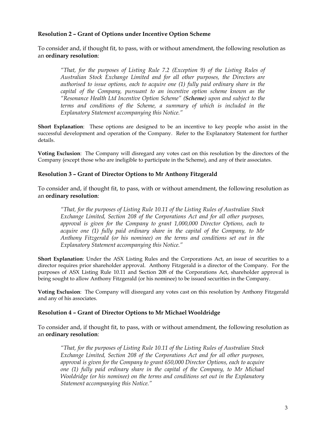#### **Resolution 2 – Grant of Options under Incentive Option Scheme**

To consider and, if thought fit, to pass, with or without amendment, the following resolution as an **ordinary resolution**:

*"That, for the purposes of Listing Rule 7.2 (Exception 9) of the Listing Rules of Australian Stock Exchange Limited and for all other purposes, the Directors are authorised to issue options, each to acquire one (1) fully paid ordinary share in the capital of the Company, pursuant to an incentive option scheme known as the "Resonance Health Ltd Incentive Option Scheme" (Scheme) upon and subject to the terms and conditions of the Scheme, a summary of which is included in the Explanatory Statement accompanying this Notice."* 

**Short Explanation**: These options are designed to be an incentive to key people who assist in the successful development and operation of the Company. Refer to the Explanatory Statement for further details.

**Voting Exclusion**: The Company will disregard any votes cast on this resolution by the directors of the Company (except those who are ineligible to participate in the Scheme), and any of their associates.

#### **Resolution 3 – Grant of Director Options to Mr Anthony Fitzgerald**

To consider and, if thought fit, to pass, with or without amendment, the following resolution as an **ordinary resolution**:

*"That, for the purposes of Listing Rule 10.11 of the Listing Rules of Australian Stock Exchange Limited, Section 208 of the Corporations Act and for all other purposes, approval is given for the Company to grant 1,000,000 Director Options, each to acquire one (1) fully paid ordinary share in the capital of the Company, to Mr Anthony Fitzgerald (or his nominee) on the terms and conditions set out in the Explanatory Statement accompanying this Notice."* 

**Short Explanation**: Under the ASX Listing Rules and the Corporations Act, an issue of securities to a director requires prior shareholder approval. Anthony Fitzgerald is a director of the Company. For the purposes of ASX Listing Rule 10.11 and Section 208 of the Corporations Act, shareholder approval is being sought to allow Anthony Fitzgerald (or his nominee) to be issued securities in the Company.

**Voting Exclusion**: The Company will disregard any votes cast on this resolution by Anthony Fitzgerald and any of his associates.

#### **Resolution 4 – Grant of Director Options to Mr Michael Wooldridge**

To consider and, if thought fit, to pass, with or without amendment, the following resolution as an **ordinary resolution**:

*"That, for the purposes of Listing Rule 10.11 of the Listing Rules of Australian Stock Exchange Limited, Section 208 of the Corporations Act and for all other purposes, approval is given for the Company to grant 650,000 Director Options, each to acquire one (1) fully paid ordinary share in the capital of the Company, to Mr Michael Wooldridge (or his nominee) on the terms and conditions set out in the Explanatory Statement accompanying this Notice."*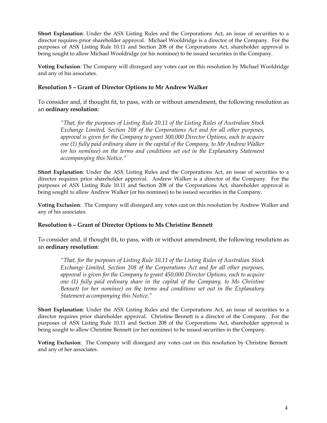**Short Explanation**: Under the ASX Listing Rules and the Corporations Act, an issue of securities to a director requires prior shareholder approval. Michael Wooldridge is a director of the Company. For the purposes of ASX Listing Rule 10.11 and Section 208 of the Corporations Act, shareholder approval is being sought to allow Michael Wooldridge (or his nominee) to be issued securities in the Company.

**Voting Exclusion**: The Company will disregard any votes cast on this resolution by Michael Wooldridge and any of his associates.

#### **Resolution 5 – Grant of Director Options to Mr Andrew Walker**

To consider and, if thought fit, to pass, with or without amendment, the following resolution as an **ordinary resolution**:

*"That, for the purposes of Listing Rule 10.11 of the Listing Rules of Australian Stock Exchange Limited, Section 208 of the Corporations Act and for all other purposes, approval is given for the Company to grant 300,000 Director Options, each to acquire one (1) fully paid ordinary share in the capital of the Company, to Mr Andrew Walker (or his nominee) on the terms and conditions set out in the Explanatory Statement accompanying this Notice."* 

**Short Explanation**: Under the ASX Listing Rules and the Corporations Act, an issue of securities to a director requires prior shareholder approval. Andrew Walker is a director of the Company. For the purposes of ASX Listing Rule 10.11 and Section 208 of the Corporations Act, shareholder approval is being sought to allow Andrew Walker (or his nominee) to be issued securities in the Company.

**Voting Exclusion**: The Company will disregard any votes cast on this resolution by Andrew Walker and any of his associates.

#### **Resolution 6 – Grant of Director Options to Ms Christine Bennett**

To consider and, if thought fit, to pass, with or without amendment, the following resolution as an **ordinary resolution**:

*"That, for the purposes of Listing Rule 10.11 of the Listing Rules of Australian Stock Exchange Limited, Section 208 of the Corporations Act and for all other purposes, approval is given for the Company to grant 450,000 Director Options, each to acquire one (1) fully paid ordinary share in the capital of the Company, to Ms Christine Bennett (or her nominee) on the terms and conditions set out in the Explanatory Statement accompanying this Notice."* 

**Short Explanation**: Under the ASX Listing Rules and the Corporations Act, an issue of securities to a director requires prior shareholder approval. Christine Bennett is a director of the Company. For the purposes of ASX Listing Rule 10.11 and Section 208 of the Corporations Act, shareholder approval is being sought to allow Christine Bennett (or her nominee) to be issued securities in the Company.

**Voting Exclusion**: The Company will disregard any votes cast on this resolution by Christine Bennett and any of her associates.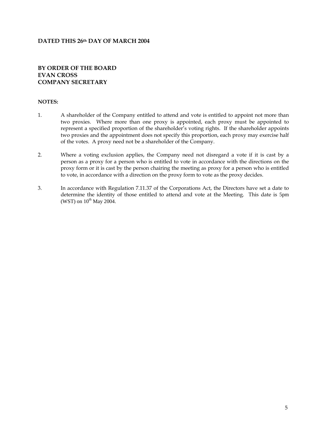#### **DATED THIS 26th DAY OF MARCH 2004**

#### **BY ORDER OF THE BOARD EVAN CROSS COMPANY SECRETARY**

#### **NOTES:**

- 1. A shareholder of the Company entitled to attend and vote is entitled to appoint not more than two proxies. Where more than one proxy is appointed, each proxy must be appointed to represent a specified proportion of the shareholder's voting rights. If the shareholder appoints two proxies and the appointment does not specify this proportion, each proxy may exercise half of the votes. A proxy need not be a shareholder of the Company.
- 2. Where a voting exclusion applies, the Company need not disregard a vote if it is cast by a person as a proxy for a person who is entitled to vote in accordance with the directions on the proxy form or it is cast by the person chairing the meeting as proxy for a person who is entitled to vote, in accordance with a direction on the proxy form to vote as the proxy decides.
- 3. In accordance with Regulation 7.11.37 of the Corporations Act, the Directors have set a date to determine the identity of those entitled to attend and vote at the Meeting. This date is 5pm (WST) on  $10^{th}$  May 2004.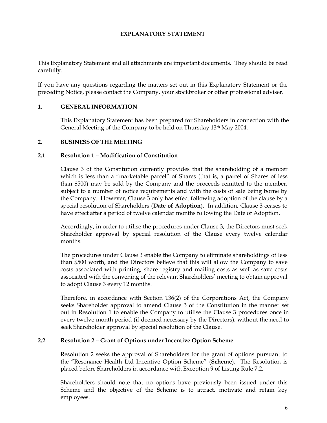## **EXPLANATORY STATEMENT**

This Explanatory Statement and all attachments are important documents. They should be read carefully.

If you have any questions regarding the matters set out in this Explanatory Statement or the preceding Notice, please contact the Company, your stockbroker or other professional adviser.

#### **1. GENERAL INFORMATION**

This Explanatory Statement has been prepared for Shareholders in connection with the General Meeting of the Company to be held on Thursday 13th May 2004.

#### **2. BUSINESS OF THE MEETING**

#### **2.1 Resolution 1 – Modification of Constitution**

Clause 3 of the Constitution currently provides that the shareholding of a member which is less than a "marketable parcel" of Shares (that is, a parcel of Shares of less than \$500) may be sold by the Company and the proceeds remitted to the member, subject to a number of notice requirements and with the costs of sale being borne by the Company. However, Clause 3 only has effect following adoption of the clause by a special resolution of Shareholders (**Date of Adoption**). In addition, Clause 3 ceases to have effect after a period of twelve calendar months following the Date of Adoption.

Accordingly, in order to utilise the procedures under Clause 3, the Directors must seek Shareholder approval by special resolution of the Clause every twelve calendar months.

The procedures under Clause 3 enable the Company to eliminate shareholdings of less than \$500 worth, and the Directors believe that this will allow the Company to save costs associated with printing, share registry and mailing costs as well as save costs associated with the convening of the relevant Shareholders' meeting to obtain approval to adopt Clause 3 every 12 months.

Therefore, in accordance with Section 136(2) of the Corporations Act, the Company seeks Shareholder approval to amend Clause 3 of the Constitution in the manner set out in Resolution 1 to enable the Company to utilise the Clause 3 procedures once in every twelve month period (if deemed necessary by the Directors), without the need to seek Shareholder approval by special resolution of the Clause.

#### **2.2 Resolution 2 – Grant of Options under Incentive Option Scheme**

Resolution 2 seeks the approval of Shareholders for the grant of options pursuant to the "Resonance Health Ltd Incentive Option Scheme" (**Scheme**). The Resolution is placed before Shareholders in accordance with Exception 9 of Listing Rule 7.2.

Shareholders should note that no options have previously been issued under this Scheme and the objective of the Scheme is to attract, motivate and retain key employees.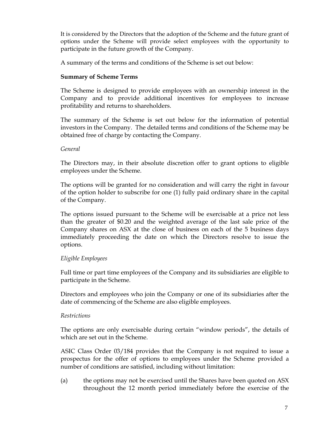It is considered by the Directors that the adoption of the Scheme and the future grant of options under the Scheme will provide select employees with the opportunity to participate in the future growth of the Company.

A summary of the terms and conditions of the Scheme is set out below:

# **Summary of Scheme Terms**

The Scheme is designed to provide employees with an ownership interest in the Company and to provide additional incentives for employees to increase profitability and returns to shareholders.

The summary of the Scheme is set out below for the information of potential investors in the Company. The detailed terms and conditions of the Scheme may be obtained free of charge by contacting the Company.

# *General*

The Directors may, in their absolute discretion offer to grant options to eligible employees under the Scheme.

The options will be granted for no consideration and will carry the right in favour of the option holder to subscribe for one (1) fully paid ordinary share in the capital of the Company.

The options issued pursuant to the Scheme will be exercisable at a price not less than the greater of \$0.20 and the weighted average of the last sale price of the Company shares on ASX at the close of business on each of the 5 business days immediately proceeding the date on which the Directors resolve to issue the options.

# *Eligible Employees*

Full time or part time employees of the Company and its subsidiaries are eligible to participate in the Scheme.

Directors and employees who join the Company or one of its subsidiaries after the date of commencing of the Scheme are also eligible employees.

# *Restrictions*

The options are only exercisable during certain "window periods", the details of which are set out in the Scheme.

ASIC Class Order 03/184 provides that the Company is not required to issue a prospectus for the offer of options to employees under the Scheme provided a number of conditions are satisfied, including without limitation:

(a) the options may not be exercised until the Shares have been quoted on ASX throughout the 12 month period immediately before the exercise of the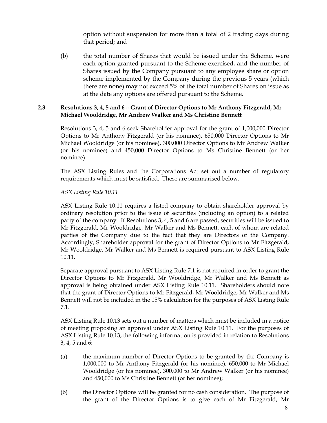option without suspension for more than a total of 2 trading days during that period; and

(b) the total number of Shares that would be issued under the Scheme, were each option granted pursuant to the Scheme exercised, and the number of Shares issued by the Company pursuant to any employee share or option scheme implemented by the Company during the previous 5 years (which there are none) may not exceed 5% of the total number of Shares on issue as at the date any options are offered pursuant to the Scheme.

### **2.3 Resolutions 3, 4, 5 and 6 – Grant of Director Options to Mr Anthony Fitzgerald, Mr Michael Wooldridge, Mr Andrew Walker and Ms Christine Bennett**

Resolutions 3, 4, 5 and 6 seek Shareholder approval for the grant of 1,000,000 Director Options to Mr Anthony Fitzgerald (or his nominee), 650,000 Director Options to Mr Michael Wooldridge (or his nominee), 300,000 Director Options to Mr Andrew Walker (or his nominee) and 450,000 Director Options to Ms Christine Bennett (or her nominee).

The ASX Listing Rules and the Corporations Act set out a number of regulatory requirements which must be satisfied. These are summarised below.

*ASX Listing Rule 10.11* 

ASX Listing Rule 10.11 requires a listed company to obtain shareholder approval by ordinary resolution prior to the issue of securities (including an option) to a related party of the company. If Resolutions 3, 4, 5 and 6 are passed, securities will be issued to Mr Fitzgerald, Mr Wooldridge, Mr Walker and Ms Bennett, each of whom are related parties of the Company due to the fact that they are Directors of the Company. Accordingly, Shareholder approval for the grant of Director Options to Mr Fitzgerald, Mr Wooldridge, Mr Walker and Ms Bennett is required pursuant to ASX Listing Rule 10.11.

Separate approval pursuant to ASX Listing Rule 7.1 is not required in order to grant the Director Options to Mr Fitzgerald, Mr Wooldridge, Mr Walker and Ms Bennett as approval is being obtained under ASX Listing Rule 10.11. Shareholders should note that the grant of Director Options to Mr Fitzgerald, Mr Wooldridge, Mr Walker and Ms Bennett will not be included in the 15% calculation for the purposes of ASX Listing Rule 7.1.

ASX Listing Rule 10.13 sets out a number of matters which must be included in a notice of meeting proposing an approval under ASX Listing Rule 10.11. For the purposes of ASX Listing Rule 10.13, the following information is provided in relation to Resolutions 3, 4, 5 and 6:

- (a) the maximum number of Director Options to be granted by the Company is 1,000,000 to Mr Anthony Fitzgerald (or his nominee), 650,000 to Mr Michael Wooldridge (or his nominee), 300,000 to Mr Andrew Walker (or his nominee) and 450,000 to Ms Christine Bennett (or her nominee);
- (b) the Director Options will be granted for no cash consideration. The purpose of the grant of the Director Options is to give each of Mr Fitzgerald, Mr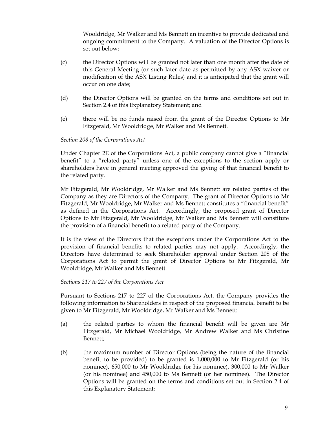Wooldridge, Mr Walker and Ms Bennett an incentive to provide dedicated and ongoing commitment to the Company. A valuation of the Director Options is set out below;

- (c) the Director Options will be granted not later than one month after the date of this General Meeting (or such later date as permitted by any ASX waiver or modification of the ASX Listing Rules) and it is anticipated that the grant will occur on one date;
- (d) the Director Options will be granted on the terms and conditions set out in Section [2.4 o](#page-13-0)f this Explanatory Statement; and
- (e) there will be no funds raised from the grant of the Director Options to Mr Fitzgerald, Mr Wooldridge, Mr Walker and Ms Bennett.

# *Section 208 of the Corporations Act*

Under Chapter 2E of the Corporations Act, a public company cannot give a "financial benefit" to a "related party" unless one of the exceptions to the section apply or shareholders have in general meeting approved the giving of that financial benefit to the related party.

Mr Fitzgerald, Mr Wooldridge, Mr Walker and Ms Bennett are related parties of the Company as they are Directors of the Company. The grant of Director Options to Mr Fitzgerald, Mr Wooldridge, Mr Walker and Ms Bennett constitutes a "financial benefit" as defined in the Corporations Act. Accordingly, the proposed grant of Director Options to Mr Fitzgerald, Mr Wooldridge, Mr Walker and Ms Bennett will constitute the provision of a financial benefit to a related party of the Company.

It is the view of the Directors that the exceptions under the Corporations Act to the provision of financial benefits to related parties may not apply. Accordingly, the Directors have determined to seek Shareholder approval under Section 208 of the Corporations Act to permit the grant of Director Options to Mr Fitzgerald, Mr Wooldridge, Mr Walker and Ms Bennett.

#### *Sections 217 to 227 of the Corporations Act*

Pursuant to Sections 217 to 227 of the Corporations Act, the Company provides the following information to Shareholders in respect of the proposed financial benefit to be given to Mr Fitzgerald, Mr Wooldridge, Mr Walker and Ms Bennett:

- (a) the related parties to whom the financial benefit will be given are Mr Fitzgerald, Mr Michael Wooldridge, Mr Andrew Walker and Ms Christine Bennett;
- (b) the maximum number of Director Options (being the nature of the financial benefit to be provided) to be granted is 1,000,000 to Mr Fitzgerald (or his nominee), 650,000 to Mr Wooldridge (or his nominee), 300,000 to Mr Walker (or his nominee) and 450,000 to Ms Bennett (or her nominee). The Director Options will be granted on the terms and conditions set out in Section [2.4](#page-13-0) of this Explanatory Statement;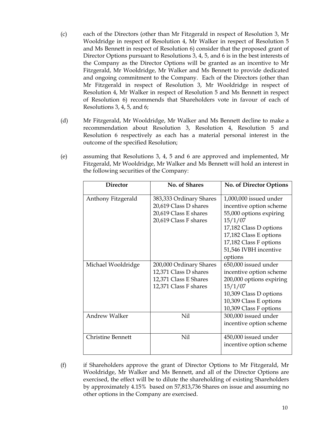- (c) each of the Directors (other than Mr Fitzgerald in respect of Resolution 3, Mr Wooldridge in respect of Resolution 4, Mr Walker in respect of Resolution 5 and Ms Bennett in respect of Resolution 6) consider that the proposed grant of Director Options pursuant to Resolutions 3, 4, 5, and 6 is in the best interests of the Company as the Director Options will be granted as an incentive to Mr Fitzgerald, Mr Wooldridge, Mr Walker and Ms Bennett to provide dedicated and ongoing commitment to the Company. Each of the Directors (other than Mr Fitzgerald in respect of Resolution 3, Mr Wooldridge in respect of Resolution 4, Mr Walker in respect of Resolution 5 and Ms Bennett in respect of Resolution 6) recommends that Shareholders vote in favour of each of Resolutions 3, 4, 5, and 6;
- (d) Mr Fitzgerald, Mr Wooldridge, Mr Walker and Ms Bennett decline to make a recommendation about Resolution 3, Resolution 4, Resolution 5 and Resolution 6 respectively as each has a material personal interest in the outcome of the specified Resolution;
- (e) assuming that Resolutions 3, 4, 5 and 6 are approved and implemented, Mr Fitzgerald, Mr Wooldridge, Mr Walker and Ms Bennett will hold an interest in the following securities of the Company:

| <b>Director</b>          | No. of Shares                                                                                      | <b>No. of Director Options</b>                                                                                                                                                                            |
|--------------------------|----------------------------------------------------------------------------------------------------|-----------------------------------------------------------------------------------------------------------------------------------------------------------------------------------------------------------|
| Anthony Fitzgerald       | 383,333 Ordinary Shares<br>20,619 Class D shares<br>20,619 Class E shares<br>20,619 Class F shares | 1,000,000 issued under<br>incentive option scheme<br>55,000 options expiring<br>15/1/07<br>17,182 Class D options<br>17,182 Class E options<br>17,182 Class F options<br>51,546 IVBH incentive<br>options |
| Michael Wooldridge       | 200,000 Ordinary Shares<br>12,371 Class D shares<br>12,371 Class E Shares<br>12,371 Class F shares | 650,000 issued under<br>incentive option scheme<br>200,000 options expiring<br>15/1/07<br>10,309 Class D options<br>10,309 Class E options<br>10,309 Class F options                                      |
| <b>Andrew Walker</b>     | Nil                                                                                                | 300,000 issued under<br>incentive option scheme                                                                                                                                                           |
| <b>Christine Bennett</b> | Nil                                                                                                | 450,000 issued under<br>incentive option scheme                                                                                                                                                           |

(f) if Shareholders approve the grant of Director Options to Mr Fitzgerald, Mr Wooldridge, Mr Walker and Ms Bennett, and all of the Director Options are exercised, the effect will be to dilute the shareholding of existing Shareholders by approximately 4.15% based on 57,813,736 Shares on issue and assuming no other options in the Company are exercised.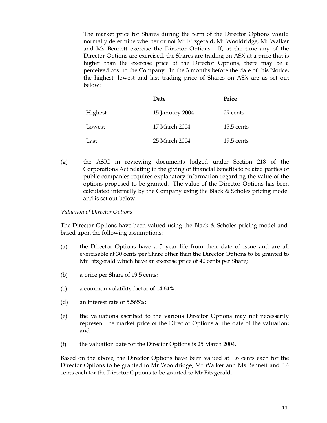The market price for Shares during the term of the Director Options would normally determine whether or not Mr Fitzgerald, Mr Wooldridge, Mr Walker and Ms Bennett exercise the Director Options. If, at the time any of the Director Options are exercised, the Shares are trading on ASX at a price that is higher than the exercise price of the Director Options, there may be a perceived cost to the Company. In the 3 months before the date of this Notice, the highest, lowest and last trading price of Shares on ASX are as set out below:

|         | Date            | Price        |
|---------|-----------------|--------------|
| Highest | 15 January 2004 | 29 cents     |
| Lowest  | 17 March 2004   | $15.5$ cents |
| Last    | 25 March 2004   | 19.5 cents   |

(g) the ASIC in reviewing documents lodged under Section 218 of the Corporations Act relating to the giving of financial benefits to related parties of public companies requires explanatory information regarding the value of the options proposed to be granted. The value of the Director Options has been calculated internally by the Company using the Black & Scholes pricing model and is set out below.

#### *Valuation of Director Options*

The Director Options have been valued using the Black & Scholes pricing model and based upon the following assumptions:

- (a) the Director Options have a 5 year life from their date of issue and are all exercisable at 30 cents per Share other than the Director Options to be granted to Mr Fitzgerald which have an exercise price of 40 cents per Share;
- (b) a price per Share of 19.5 cents;
- (c) a common volatility factor of 14.64%;
- (d) an interest rate of 5.565%;
- (e) the valuations ascribed to the various Director Options may not necessarily represent the market price of the Director Options at the date of the valuation; and
- (f) the valuation date for the Director Options is 25 March 2004.

Based on the above, the Director Options have been valued at 1.6 cents each for the Director Options to be granted to Mr Wooldridge, Mr Walker and Ms Bennett and 0.4 cents each for the Director Options to be granted to Mr Fitzgerald.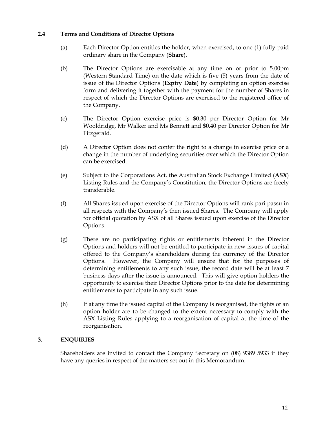## **2.4 Terms and Conditions of Director Options**

- <span id="page-13-0"></span>(a) Each Director Option entitles the holder, when exercised, to one (1) fully paid ordinary share in the Company (**Share**).
- (b) The Director Options are exercisable at any time on or prior to 5.00pm (Western Standard Time) on the date which is five (5) years from the date of issue of the Director Options (**Expiry Date**) by completing an option exercise form and delivering it together with the payment for the number of Shares in respect of which the Director Options are exercised to the registered office of the Company.
- (c) The Director Option exercise price is \$0.30 per Director Option for Mr Wooldridge, Mr Walker and Ms Bennett and \$0.40 per Director Option for Mr Fitzgerald.
- (d) A Director Option does not confer the right to a change in exercise price or a change in the number of underlying securities over which the Director Option can be exercised.
- (e) Subject to the Corporations Act, the Australian Stock Exchange Limited (**ASX**) Listing Rules and the Company's Constitution, the Director Options are freely transferable.
- (f) All Shares issued upon exercise of the Director Options will rank pari passu in all respects with the Company's then issued Shares. The Company will apply for official quotation by ASX of all Shares issued upon exercise of the Director Options.
- (g) There are no participating rights or entitlements inherent in the Director Options and holders will not be entitled to participate in new issues of capital offered to the Company's shareholders during the currency of the Director Options. However, the Company will ensure that for the purposes of determining entitlements to any such issue, the record date will be at least 7 business days after the issue is announced. This will give option holders the opportunity to exercise their Director Options prior to the date for determining entitlements to participate in any such issue.
- (h) If at any time the issued capital of the Company is reorganised, the rights of an option holder are to be changed to the extent necessary to comply with the ASX Listing Rules applying to a reorganisation of capital at the time of the reorganisation.

# **3. ENQUIRIES**

Shareholders are invited to contact the Company Secretary on (08) 9389 5933 if they have any queries in respect of the matters set out in this Memorandum.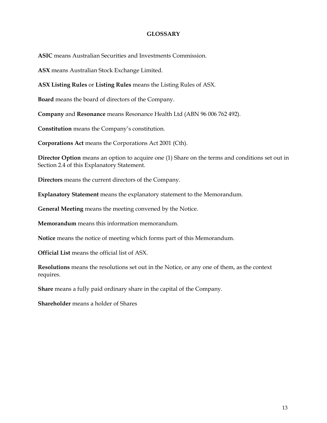### **GLOSSARY**

**ASIC** means Australian Securities and Investments Commission.

**ASX** means Australian Stock Exchange Limited.

**ASX Listing Rules** or **Listing Rules** means the Listing Rules of ASX.

**Board** means the board of directors of the Company.

**Company** and **Resonance** means Resonance Health Ltd (ABN 96 006 762 492).

**Constitution** means the Company's constitution.

**Corporations Act** means the Corporations Act 2001 (Cth).

**Director Option** means an option to acquire one (1) Share on the terms and conditions set out in Section [2.4 o](#page-13-0)f this Explanatory Statement.

**Directors** means the current directors of the Company.

**Explanatory Statement** means the explanatory statement to the Memorandum.

**General Meeting** means the meeting convened by the Notice.

**Memorandum** means this information memorandum.

**Notice** means the notice of meeting which forms part of this Memorandum.

**Official List** means the official list of ASX.

**Resolutions** means the resolutions set out in the Notice, or any one of them, as the context requires.

**Share** means a fully paid ordinary share in the capital of the Company.

**Shareholder** means a holder of Shares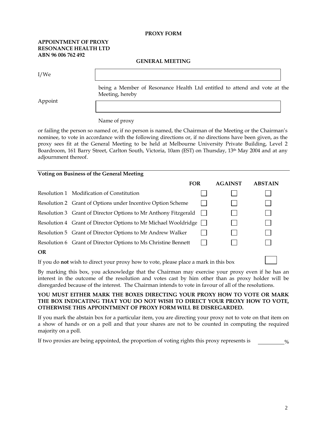#### **PROXY FORM**

#### **APPOINTMENT OF PROXY RESONANCE HEALTH LTD ABN 96 006 762 492**

**GENERAL MEETING** 

I/We

Appoint

being a Member of Resonance Health Ltd entitled to attend and vote at the Meeting, hereby

#### Name of proxy

or failing the person so named or, if no person is named, the Chairman of the Meeting or the Chairman's nominee, to vote in accordance with the following directions or, if no directions have been given, as the proxy sees fit at the General Meeting to be held at Melbourne University Private Building, Level 2 Boardroom, 161 Barry Street, Carlton South, Victoria, 10am (EST) on Thursday, 13th May 2004 and at any adjournment thereof.

#### **Voting on Business of the General Meeting**

|           |                                                                 | <b>FOR</b> | <b>AGAINST</b> | <b>ABSTAIN</b> |
|-----------|-----------------------------------------------------------------|------------|----------------|----------------|
|           | Resolution 1 Modification of Constitution                       |            |                |                |
|           | Resolution 2 Grant of Options under Incentive Option Scheme     |            |                |                |
|           | Resolution 3 Grant of Director Options to Mr Anthony Fitzgerald |            |                |                |
|           | Resolution 4 Grant of Director Options to Mr Michael Wooldridge |            |                |                |
|           | Resolution 5 Grant of Director Options to Mr Andrew Walker      |            |                |                |
|           | Resolution 6 Grant of Director Options to Ms Christine Bennett  |            |                |                |
| <b>OR</b> |                                                                 |            |                |                |
|           |                                                                 |            |                |                |

If you do **not** wish to direct your proxy how to vote, please place a mark in this box

By marking this box, you acknowledge that the Chairman may exercise your proxy even if he has an interest in the outcome of the resolution and votes cast by him other than as proxy holder will be disregarded because of the interest. The Chairman intends to vote in favour of all of the resolutions.

#### **YOU MUST EITHER MARK THE BOXES DIRECTING YOUR PROXY HOW TO VOTE OR MARK THE BOX INDICATING THAT YOU DO NOT WISH TO DIRECT YOUR PROXY HOW TO VOTE, OTHERWISE THIS APPOINTMENT OF PROXY FORM WILL BE DISREGARDED.**

If you mark the abstain box for a particular item, you are directing your proxy not to vote on that item on a show of hands or on a poll and that your shares are not to be counted in computing the required majority on a poll.

% If two proxies are being appointed, the proportion of voting rights this proxy represents is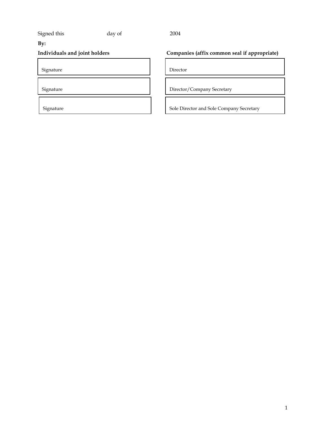# Signed this day of 2004

# **By:**

Signature Director

# **Individuals and joint holders Companies (affix common seal if appropriate)**

Signature Director/Company Secretary

Signature Signature Signature Signature Sole Director and Sole Company Secretary